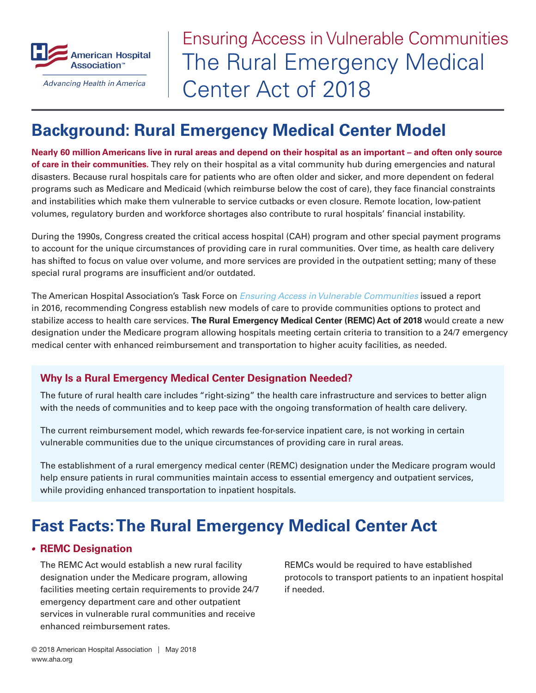

Advancing Health in America

# The Rural Emergency Medical Center Act of 2018 Ensuring Access in Vulnerable Communities

# **Background: Rural Emergency Medical Center Model**

**Nearly 60 million Americans live in rural areas and depend on their hospital as an important – and often only source of care in their communities.** They rely on their hospital as a vital community hub during emergencies and natural disasters. Because rural hospitals care for patients who are often older and sicker, and more dependent on federal programs such as Medicare and Medicaid (which reimburse below the cost of care), they face financial constraints and instabilities which make them vulnerable to service cutbacks or even closure. Remote location, low-patient volumes, regulatory burden and workforce shortages also contribute to rural hospitals' financial instability.

During the 1990s, Congress created the critical access hospital (CAH) program and other special payment programs to account for the unique circumstances of providing care in rural communities. Over time, as health care delivery has shifted to focus on value over volume, and more services are provided in the outpatient setting; many of these special rural programs are insufficient and/or outdated.

The American Hospital Association's Task Force on *[Ensuring Access in Vulnerable Communities](https://www.aha.org/issue-landing-page/2016-11-16-ensuring-access-vulnerable-communities-taskforce-report-and-resources)* issued a report in 2016, recommending Congress establish new models of care to provide communities options to protect and stabilize access to health care services. **The Rural Emergency Medical Center (REMC) Act of 2018** would create a new designation under the Medicare program allowing hospitals meeting certain criteria to transition to a 24/7 emergency medical center with enhanced reimbursement and transportation to higher acuity facilities, as needed.

### **Why Is a Rural Emergency Medical Center Designation Needed?**

The future of rural health care includes "right-sizing" the health care infrastructure and services to better align with the needs of communities and to keep pace with the ongoing transformation of health care delivery.

The current reimbursement model, which rewards fee-for-service inpatient care, is not working in certain vulnerable communities due to the unique circumstances of providing care in rural areas.

The establishment of a rural emergency medical center (REMC) designation under the Medicare program would help ensure patients in rural communities maintain access to essential emergency and outpatient services, while providing enhanced transportation to inpatient hospitals.

# **Fast Facts: The Rural Emergency Medical Center Act**

### *•* **REMC Designation**

The REMC Act would establish a new rural facility designation under the Medicare program, allowing facilities meeting certain requirements to provide 24/7 emergency department care and other outpatient services in vulnerable rural communities and receive enhanced reimbursement rates.

REMCs would be required to have established protocols to transport patients to an inpatient hospital if needed.